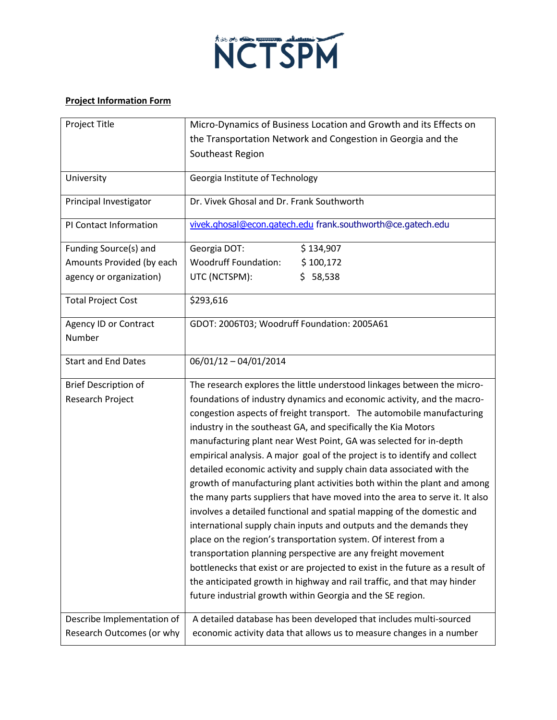

## **Project Information Form**

| Project Title               | Micro-Dynamics of Business Location and Growth and its Effects on             |
|-----------------------------|-------------------------------------------------------------------------------|
|                             | the Transportation Network and Congestion in Georgia and the                  |
|                             | Southeast Region                                                              |
|                             |                                                                               |
| University                  | Georgia Institute of Technology                                               |
| Principal Investigator      | Dr. Vivek Ghosal and Dr. Frank Southworth                                     |
| PI Contact Information      | vivek.ghosal@econ.gatech.edu frank.southworth@ce.gatech.edu                   |
| Funding Source(s) and       | Georgia DOT:<br>\$134,907                                                     |
| Amounts Provided (by each   | <b>Woodruff Foundation:</b><br>\$100,172                                      |
| agency or organization)     | UTC (NCTSPM):<br>\$58,538                                                     |
| <b>Total Project Cost</b>   | \$293,616                                                                     |
| Agency ID or Contract       | GDOT: 2006T03; Woodruff Foundation: 2005A61                                   |
| Number                      |                                                                               |
| <b>Start and End Dates</b>  | $06/01/12 - 04/01/2014$                                                       |
| <b>Brief Description of</b> | The research explores the little understood linkages between the micro-       |
| Research Project            | foundations of industry dynamics and economic activity, and the macro-        |
|                             | congestion aspects of freight transport. The automobile manufacturing         |
|                             | industry in the southeast GA, and specifically the Kia Motors                 |
|                             | manufacturing plant near West Point, GA was selected for in-depth             |
|                             | empirical analysis. A major goal of the project is to identify and collect    |
|                             | detailed economic activity and supply chain data associated with the          |
|                             | growth of manufacturing plant activities both within the plant and among      |
|                             | the many parts suppliers that have moved into the area to serve it. It also   |
|                             | involves a detailed functional and spatial mapping of the domestic and        |
|                             | international supply chain inputs and outputs and the demands they            |
|                             | place on the region's transportation system. Of interest from a               |
|                             | transportation planning perspective are any freight movement                  |
|                             | bottlenecks that exist or are projected to exist in the future as a result of |
|                             | the anticipated growth in highway and rail traffic, and that may hinder       |
|                             | future industrial growth within Georgia and the SE region.                    |
| Describe Implementation of  | A detailed database has been developed that includes multi-sourced            |
| Research Outcomes (or why   | economic activity data that allows us to measure changes in a number          |